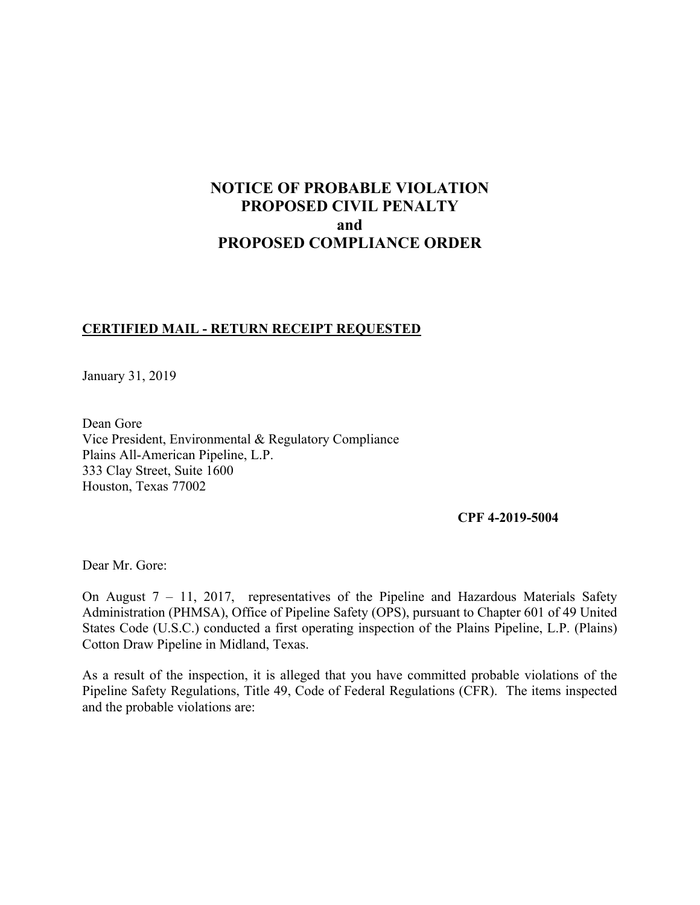# **NOTICE OF PROBABLE VIOLATION PROPOSED CIVIL PENALTY and PROPOSED COMPLIANCE ORDER**

## **CERTIFIED MAIL - RETURN RECEIPT REQUESTED**

January 31, 2019

Dean Gore Vice President, Environmental & Regulatory Compliance Plains All-American Pipeline, L.P. 333 Clay Street, Suite 1600 Houston, Texas 77002

#### **CPF 4-2019-5004**

Dear Mr. Gore:

On August 7 – 11, 2017, representatives of the Pipeline and Hazardous Materials Safety Administration (PHMSA), Office of Pipeline Safety (OPS), pursuant to Chapter 601 of 49 United States Code (U.S.C.) conducted a first operating inspection of the Plains Pipeline, L.P. (Plains) Cotton Draw Pipeline in Midland, Texas.

 Pipeline Safety Regulations, Title 49, Code of Federal Regulations (CFR). The items inspected As a result of the inspection, it is alleged that you have committed probable violations of the and the probable violations are: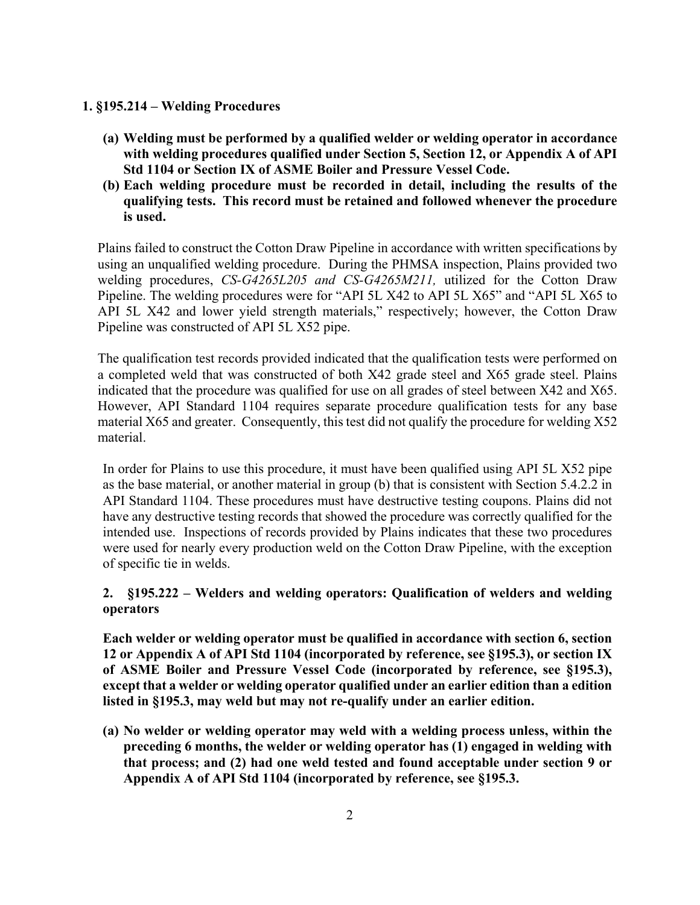### **1. §195.214 – Welding Procedures**

- **(a) Welding must be performed by a qualified welder or welding operator in accordance with welding procedures qualified under Section 5, Section 12, or Appendix A of API Std 1104 or Section IX of ASME Boiler and Pressure Vessel Code.**
- **(b) Each welding procedure must be recorded in detail, including the results of the qualifying tests. This record must be retained and followed whenever the procedure is used.**

Plains failed to construct the Cotton Draw Pipeline in accordance with written specifications by using an unqualified welding procedure. During the PHMSA inspection, Plains provided two welding procedures, *CS-G4265L205 and CS-G4265M211,* utilized for the Cotton Draw Pipeline. The welding procedures were for "API 5L X42 to API 5L X65" and "API 5L X65 to API 5L X42 and lower yield strength materials," respectively; however, the Cotton Draw Pipeline was constructed of API 5L X52 pipe.

The qualification test records provided indicated that the qualification tests were performed on a completed weld that was constructed of both X42 grade steel and X65 grade steel. Plains indicated that the procedure was qualified for use on all grades of steel between X42 and X65. However, API Standard 1104 requires separate procedure qualification tests for any base material X65 and greater. Consequently, this test did not qualify the procedure for welding X52 material.

 as the base material, or another material in group (b) that is consistent with Section 5.4.2.2 in were used for nearly every production weld on the Cotton Draw Pipeline, with the exception In order for Plains to use this procedure, it must have been qualified using API 5L X52 pipe API Standard 1104. These procedures must have destructive testing coupons. Plains did not have any destructive testing records that showed the procedure was correctly qualified for the intended use. Inspections of records provided by Plains indicates that these two procedures of specific tie in welds.

## **2. §195.222 – Welders and welding operators: Qualification of welders and welding operators**

 **except that a welder or welding operator qualified under an earlier edition than a edition Each welder or welding operator must be qualified in accordance with section 6, section 12 or Appendix A of API Std 1104 (incorporated by reference, see §195.3), or section IX of ASME Boiler and Pressure Vessel Code (incorporated by reference, see §195.3), listed in §195.3, may weld but may not re-qualify under an earlier edition.** 

**(a) No welder or welding operator may weld with a welding process unless, within the preceding 6 months, the welder or welding operator has (1) engaged in welding with that process; and (2) had one weld tested and found acceptable under section 9 or Appendix A of API Std 1104 (incorporated by reference, see §195.3.**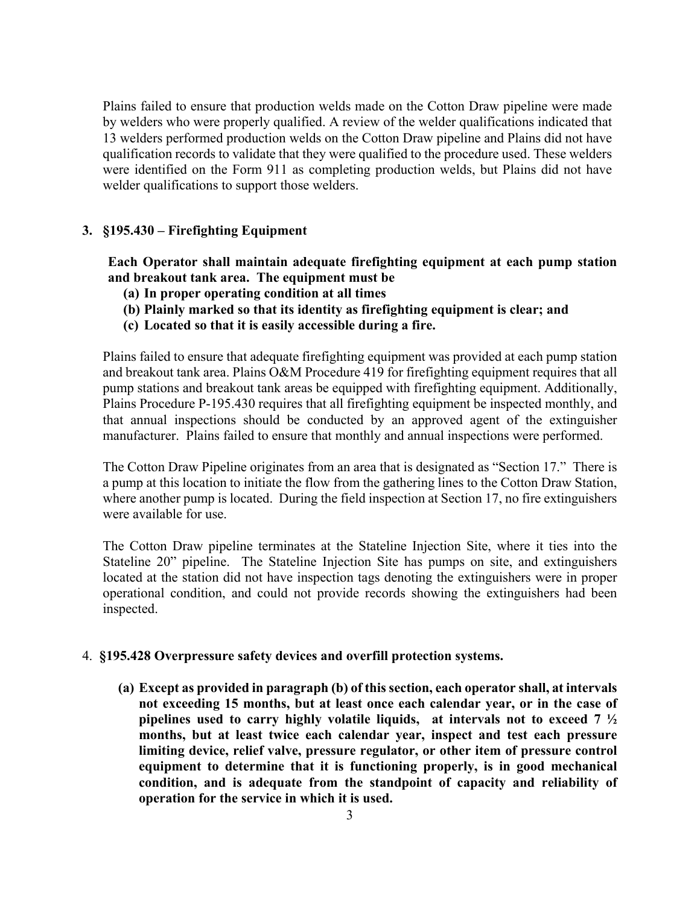Plains failed to ensure that production welds made on the Cotton Draw pipeline were made by welders who were properly qualified. A review of the welder qualifications indicated that 13 welders performed production welds on the Cotton Draw pipeline and Plains did not have qualification records to validate that they were qualified to the procedure used. These welders were identified on the Form 911 as completing production welds, but Plains did not have welder qualifications to support those welders.

## **3. §195.430 – Firefighting Equipment**

**Each Operator shall maintain adequate firefighting equipment at each pump station and breakout tank area. The equipment must be** 

- **(a) In proper operating condition at all times**
- **(b) Plainly marked so that its identity as firefighting equipment is clear; and**
- **(c) Located so that it is easily accessible during a fire.**

Plains failed to ensure that adequate firefighting equipment was provided at each pump station and breakout tank area. Plains O&M Procedure 419 for firefighting equipment requires that all pump stations and breakout tank areas be equipped with firefighting equipment. Additionally, Plains Procedure P-195.430 requires that all firefighting equipment be inspected monthly, and that annual inspections should be conducted by an approved agent of the extinguisher manufacturer. Plains failed to ensure that monthly and annual inspections were performed.

 The Cotton Draw Pipeline originates from an area that is designated as "Section 17." There is a pump at this location to initiate the flow from the gathering lines to the Cotton Draw Station, where another pump is located. During the field inspection at Section 17, no fire extinguishers were available for use.

 Stateline 20" pipeline. The Stateline Injection Site has pumps on site, and extinguishers located at the station did not have inspection tags denoting the extinguishers were in proper The Cotton Draw pipeline terminates at the Stateline Injection Site, where it ties into the operational condition, and could not provide records showing the extinguishers had been inspected.

#### 4. **§195.428 Overpressure safety devices and overfill protection systems.**

 **(a) Except as provided in paragraph (b) of this section, each operator shall, at intervals not exceeding 15 months, but at least once each calendar year, or in the case of pipelines used to carry highly volatile liquids, at intervals not to exceed 7 ½ months, but at least twice each calendar year, inspect and test each pressure limiting device, relief valve, pressure regulator, or other item of pressure control equipment to determine that it is functioning properly, is in good mechanical condition, and is adequate from the standpoint of capacity and reliability of operation for the service in which it is used.**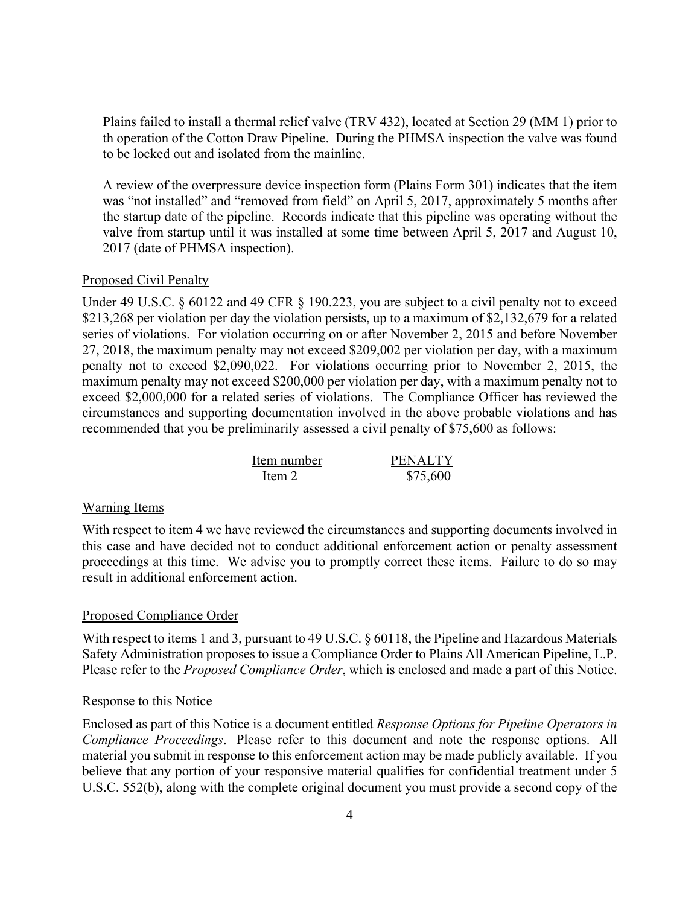th operation of the Cotton Draw Pipeline. During the PHMSA inspection the valve was found Plains failed to install a thermal relief valve (TRV 432), located at Section 29 (MM 1) prior to to be locked out and isolated from the mainline.

A review of the overpressure device inspection form (Plains Form 301) indicates that the item was "not installed" and "removed from field" on April 5, 2017, approximately 5 months after the startup date of the pipeline. Records indicate that this pipeline was operating without the valve from startup until it was installed at some time between April 5, 2017 and August 10, 2017 (date of PHMSA inspection).

#### Proposed Civil Penalty

Under 49 U.S.C. § 60122 and 49 CFR § 190.223, you are subject to a civil penalty not to exceed \$213,268 per violation per day the violation persists, up to a maximum of \$2,132,679 for a related series of violations. For violation occurring on or after November 2, 2015 and before November 27, 2018, the maximum penalty may not exceed \$209,002 per violation per day, with a maximum penalty not to exceed \$2,090,022. For violations occurring prior to November 2, 2015, the maximum penalty may not exceed \$200,000 per violation per day, with a maximum penalty not to exceed \$2,000,000 for a related series of violations. The Compliance Officer has reviewed the circumstances and supporting documentation involved in the above probable violations and has recommended that you be preliminarily assessed a civil penalty of \$75,600 as follows:

| Item number | <b>PENALTY</b> |
|-------------|----------------|
| Item $21$   | \$75,600       |

#### Warning Items

 proceedings at this time. We advise you to promptly correct these items. Failure to do so may With respect to item 4 we have reviewed the circumstances and supporting documents involved in this case and have decided not to conduct additional enforcement action or penalty assessment result in additional enforcement action.

#### Proposed Compliance Order

 With respect to items 1 and 3, pursuant to 49 U.S.C. § 60118, the Pipeline and Hazardous Materials Safety Administration proposes to issue a Compliance Order to Plains All American Pipeline, L.P. Please refer to the *Proposed Compliance Order*, which is enclosed and made a part of this Notice.

#### Response to this Notice

 *Compliance Proceedings*. Please refer to this document and note the response options. All Enclosed as part of this Notice is a document entitled *Response Options for Pipeline Operators in*  material you submit in response to this enforcement action may be made publicly available. If you believe that any portion of your responsive material qualifies for confidential treatment under 5 U.S.C. 552(b), along with the complete original document you must provide a second copy of the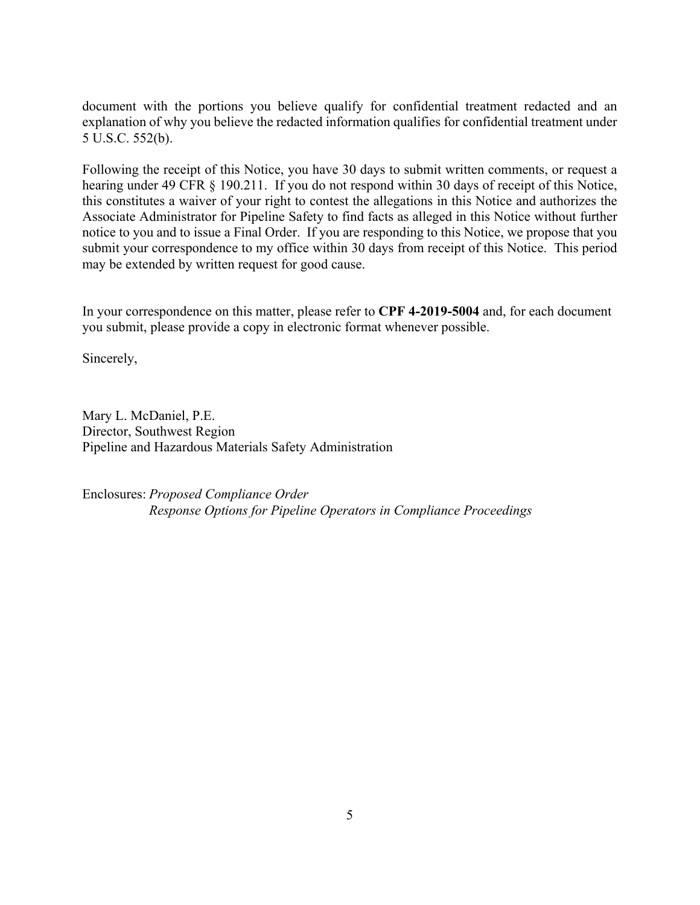document with the portions you believe qualify for confidential treatment redacted and an explanation of why you believe the redacted information qualifies for confidential treatment under 5 U.S.C. 552(b).

 submit your correspondence to my office within 30 days from receipt of this Notice. This period Following the receipt of this Notice, you have 30 days to submit written comments, or request a hearing under 49 CFR § 190.211. If you do not respond within 30 days of receipt of this Notice, this constitutes a waiver of your right to contest the allegations in this Notice and authorizes the Associate Administrator for Pipeline Safety to find facts as alleged in this Notice without further notice to you and to issue a Final Order. If you are responding to this Notice, we propose that you may be extended by written request for good cause.

In your correspondence on this matter, please refer to **CPF 4-2019-5004** and, for each document you submit, please provide a copy in electronic format whenever possible.

Sincerely,

Mary L. McDaniel, P.E. Director, Southwest Region Pipeline and Hazardous Materials Safety Administration

Enclosures: *Proposed Compliance Order Response Options for Pipeline Operators in Compliance Proceedings*